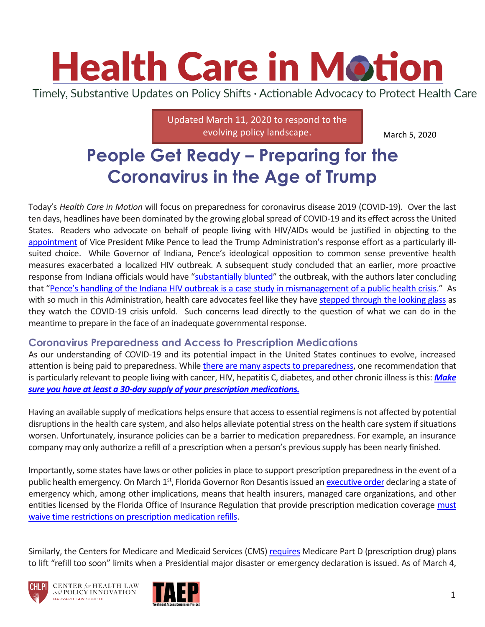# **Health Care in Motion**

Timely, Substantive Updates on Policy Shifts · Actionable Advocacy to Protect Health Care

Updated March 11, 2020 to respond to the evolving policy landscape.

March 5, 2020

# **People Get Ready – Preparing for the Coronavirus in the Age of Trump**

Today's *Health Care in Motion* will focus on preparedness for coronavirus disease 2019 (COVID-19). Over the last ten days, headlines have been dominated by the growing global spread of COVID-19 and its effect across the United States. Readers who advocate on behalf of people living with HIV/AIDs would be justified in objecting to the [appointment](https://www.politico.com/news/2020/02/26/trump-puts-pence-in-charge-of-coronavirus-response-117790) of Vice President Mike Pence to lead the Trump Administration's response effort as a particularly illsuited choice. While Governor of Indiana, Pence's ideological opposition to common sense preventive health measures exacerbated a localized HIV outbreak. A subsequent study concluded that an earlier, more proactive response from Indiana officials would have "[substantially blunted](https://www.ncbi.nlm.nih.gov/pmc/articles/PMC6192548/)" the outbreak, with the authors later concluding that ["Pence's handling of the Indiana HIV outbreak is a case study in mismanagement of a public health crisis.](https://www.politico.com/news/magazine/2020/03/02/how-mike-pence-made-indianas-hiv-outbreak-worse-118648)" As with so much in this Administration, health care advocates feel like they have [stepped through the looking glass](https://www.cnn.com/videos/politics/2017/12/03/sotu-cartoonion.cnn/video/playlists/state-of-the-cartoonian/) as they watch the COVID-19 crisis unfold. Such concerns lead directly to the question of what we can do in the meantime to prepare in the face of an inadequate governmental response.

### **Coronavirus Preparedness and Access to Prescription Medications**

As our understanding of COVID-19 and its potential impact in the United States continues to evolve, increased attention is being paid to preparedness. While [there are many aspects to preparedness,](https://www.cdc.gov/coronavirus/2019-ncov/community/get-your-household-ready-for-COVID-19.html) one recommendation that is particularly relevant to people living with cancer, HIV, hepatitis C, diabetes, and other chronic illness is this: *[Make](https://www.redcross.org/about-us/news-and-events/news/2020/coronavirus-safety-and-readiness-tips-for-you.html)  [sure you have at least a 30-day supply of your prescription medications.](https://www.redcross.org/about-us/news-and-events/news/2020/coronavirus-safety-and-readiness-tips-for-you.html)*

Having an available supply of medications helps ensure that access to essential regimens is not affected by potential disruptions in the health care system, and also helps alleviate potential stress on the health care system if situations worsen. Unfortunately, insurance policies can be a barrier to medication preparedness. For example, an insurance company may only authorize a refill of a prescription when a person's previous supply has been nearly finished.

Importantly, some states have laws or other policies in place to support prescription preparedness in the event of a public health emergency. On March 1<sup>st</sup>, Florida Governor Ron Desantis issued a[n executive order](https://www.politico.com/states/f/?id=00000170-9939-d4a2-a1f8-dbffd4e00000) declaring a state of emergency which, among other implications, means that health insurers, managed care organizations, and other entities licensed by the Florida Office of Insurance Regulation that provide prescription medication coverage must [waive time restrictions on prescription medication refills.](http://www.leg.state.fl.us/statutes/index.cfm?App_mode=Display_Statute&URL=0200-0299/0252/Sections/0252.358.html)

Similarly, the Centers for Medicare and Medicaid Services (CMS) [requires](https://www.cms.gov/Medicare/Prescription-Drug-Coverage/PrescriptionDrugCovContra/Downloads/MemoPDBManualChapter5_093011.pdf) Medicare Part D (prescription drug) plans to lift "refill too soon" limits when a Presidential major disaster or emergency declaration is issued. As of March 4,



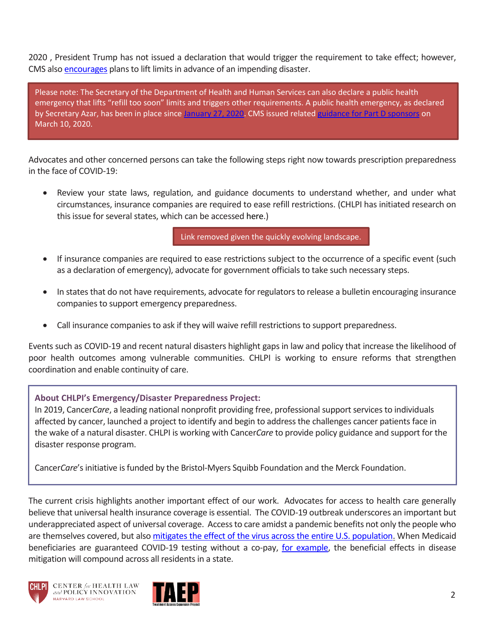2020 , President Trump has not issued a declaration that would trigger the requirement to take effect; however, CMS also [encourages](https://www.cms.gov/Medicare/Prescription-Drug-Coverage/PrescriptionDrugCovContra/Downloads/MemoPDBManualChapter5_093011.pdf) plans to lift limits in advance of an impending disaster.

Please note: The Secretary of the Department of Health and Human Services can also declare a public health emergency that lifts "refill too soon" limits and triggers other requirements. A public health emergency, as declared by Secretary Azar, has been in place since [January 27, 2020.](https://www.phe.gov/emergency/news/healthactions/phe/Pages/2019-nCoV.aspx) CMS issued related [guidance for Part D sponsors](https://www.cms.gov/files/document/hpms-memo-covid-information-plans.pdf) on March 10, 2020.

Advocates and other concerned persons can take the following steps right now towards prescription preparedness in the face of COVID-19:

 Review your state laws, regulation, and guidance documents to understand whether, and under what circumstances, insurance companies are required to ease refill restrictions. (CHLPI has initiated research on this issue for several states, which can be accessed here.)

Link removed given the quickly evolving landscape.

- If insurance companies are required to ease restrictions subject to the occurrence of a specific event (such as a declaration of emergency), advocate for government officials to take such necessary steps.
- In states that do not have requirements, advocate for regulators to release a bulletin encouraging insurance companies to support emergency preparedness.
- Call insurance companies to ask if they will waive refill restrictions to support preparedness.

Events such as COVID-19 and recent natural disasters highlight gaps in law and policy that increase the likelihood of poor health outcomes among vulnerable communities. CHLPI is working to ensure reforms that strengthen coordination and enable continuity of care.

#### **About CHLPI's Emergency/Disaster Preparedness Project:**

In 2019, Cancer*Care*, a leading national nonprofit providing free, professional support services to individuals affected by cancer, launched a project to identify and begin to address the challenges cancer patients face in the wake of a natural disaster. CHLPI is working with Cancer*Care* to provide policy guidance and support for the disaster response program.

Cancer*Care*'s initiative is funded by the Bristol-Myers Squibb Foundation and the Merck Foundation.

The current crisis highlights another important effect of our work. Advocates for access to health care generally believe that universal health insurance coverage is essential. The COVID-19 outbreak underscores an important but underappreciated aspect of universal coverage. Access to care amidst a pandemic benefits not only the people who are themselves covered, but also [mitigates the effect of the virus across the entire](https://twitter.com/nicholas_bagley/status/1235229821736755203?s=20) U.S. population. When Medicaid beneficiaries are guaranteed COVID-19 testing without a co-pay, [for example,](https://www.governor.ny.gov/news/governor-cuomo-announces-new-directive-requiring-new-york-insurers-waive-cost-sharing) the beneficial effects in disease mitigation will compound across all residents in a state.